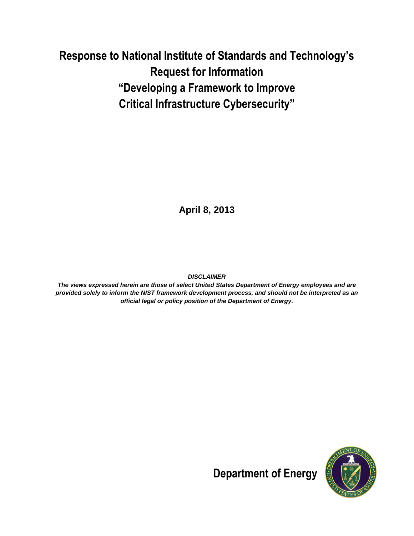# **Response to National Institute of Standards and Technology's Request for Information "Developing a Framework to Improve Critical Infrastructure Cybersecurity"**

**April 8, 2013**

*DISCLAIMER*

*The views expressed herein are those of select United States Department of Energy employees and are provided solely to inform the NIST framework development process, and should not be interpreted as an official legal or policy position of the Department of Energy.*



**Department of Energy**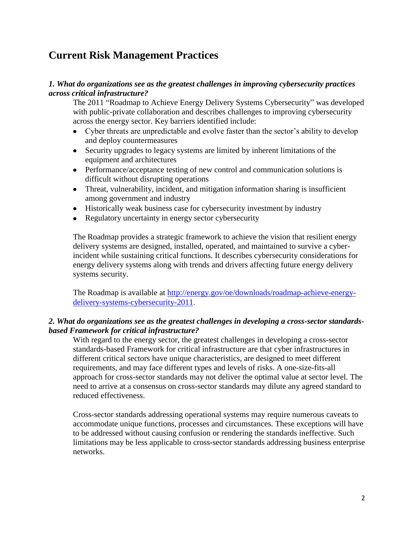## **Current Risk Management Practices**

## *1. What do organizations see as the greatest challenges in improving cybersecurity practices across critical infrastructure?*

The 2011 "Roadmap to Achieve Energy Delivery Systems Cybersecurity" was developed with public-private collaboration and describes challenges to improving cybersecurity across the energy sector. Key barriers identified include:

- Cyber threats are unpredictable and evolve faster than the sector's ability to develop and deploy countermeasures
- Security upgrades to legacy systems are limited by inherent limitations of the equipment and architectures
- Performance/acceptance testing of new control and communication solutions is difficult without disrupting operations
- Threat, vulnerability, incident, and mitigation information sharing is insufficient among government and industry
- Historically weak business case for cybersecurity investment by industry
- Regulatory uncertainty in energy sector cybersecurity

The Roadmap provides a strategic framework to achieve the vision that resilient energy delivery systems are designed, installed, operated, and maintained to survive a cyberincident while sustaining critical functions. It describes cybersecurity considerations for energy delivery systems along with trends and drivers affecting future energy delivery systems security.

The Roadmap is available at [http://energy.gov/oe/downloads/roadmap-achieve-energy](http://energy.gov/oe/downloads/roadmap-achieve-energy-delivery-systems-cybersecurity-2011)[delivery-systems-cybersecurity-2011](http://energy.gov/oe/downloads/roadmap-achieve-energy-delivery-systems-cybersecurity-2011).

## *2. What do organizations see as the greatest challenges in developing a cross-sector standardsbased Framework for critical infrastructure?*

With regard to the energy sector, the greatest challenges in developing a cross-sector standards-based Framework for critical infrastructure are that cyber infrastructures in different critical sectors have unique characteristics, are designed to meet different requirements, and may face different types and levels of risks. A one-size-fits-all approach for cross-sector standards may not deliver the optimal value at sector level. The need to arrive at a consensus on cross-sector standards may dilute any agreed standard to reduced effectiveness.

Cross-sector standards addressing operational systems may require numerous caveats to accommodate unique functions, processes and circumstances. These exceptions will have to be addressed without causing confusion or rendering the standards ineffective. Such limitations may be less applicable to cross-sector standards addressing business enterprise networks.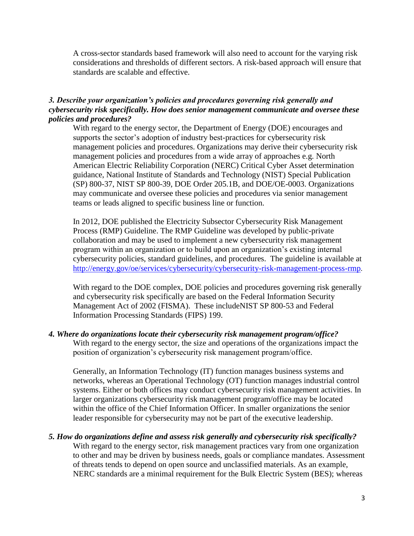A cross-sector standards based framework will also need to account for the varying risk considerations and thresholds of different sectors. A risk-based approach will ensure that standards are scalable and effective.

## *3. Describe your organization's policies and procedures governing risk generally and cybersecurity risk specifically. How does senior management communicate and oversee these policies and procedures?*

With regard to the energy sector, the Department of Energy (DOE) encourages and supports the sector's adoption of industry best-practices for cybersecurity risk management policies and procedures. Organizations may derive their cybersecurity risk management policies and procedures from a wide array of approaches e.g. North American Electric Reliability Corporation (NERC) Critical Cyber Asset determination guidance, National Institute of Standards and Technology (NIST) Special Publication (SP) 800-37, NIST SP 800-39, DOE Order 205.1B, and DOE/OE-0003. Organizations may communicate and oversee these policies and procedures via senior management teams or leads aligned to specific business line or function.

In 2012, DOE published the Electricity Subsector Cybersecurity Risk Management Process (RMP) Guideline. The RMP Guideline was developed by public-private collaboration and may be used to implement a new cybersecurity risk management program within an organization or to build upon an organization's existing internal cybersecurity policies, standard guidelines, and procedures. The guideline is available at <http://energy.gov/oe/services/cybersecurity/cybersecurity-risk-management-process-rmp>.

With regard to the DOE complex, DOE policies and procedures governing risk generally and cybersecurity risk specifically are based on the Federal Information Security Management Act of 2002 (FISMA). These includeNIST SP 800-53 and Federal Information Processing Standards (FIPS) 199.

### *4. Where do organizations locate their cybersecurity risk management program/office?* With regard to the energy sector, the size and operations of the organizations impact the position of organization's cybersecurity risk management program/office.

Generally, an Information Technology (IT) function manages business systems and networks, whereas an Operational Technology (OT) function manages industrial control systems. Either or both offices may conduct cybersecurity risk management activities. In larger organizations cybersecurity risk management program/office may be located within the office of the Chief Information Officer. In smaller organizations the senior leader responsible for cybersecurity may not be part of the executive leadership.

## *5. How do organizations define and assess risk generally and cybersecurity risk specifically?*

With regard to the energy sector, risk management practices vary from one organization to other and may be driven by business needs, goals or compliance mandates. Assessment of threats tends to depend on open source and unclassified materials. As an example, NERC standards are a minimal requirement for the Bulk Electric System (BES); whereas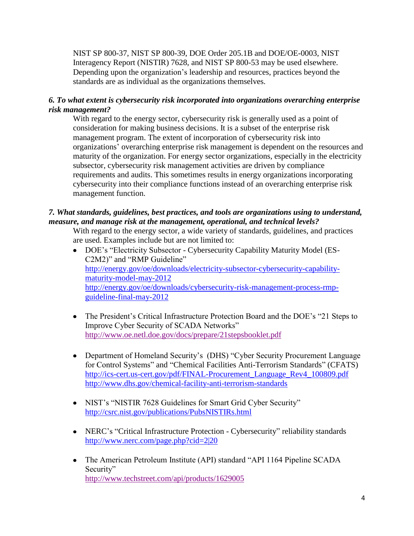NIST SP 800-37, NIST SP 800-39, DOE Order 205.1B and DOE/OE-0003, NIST Interagency Report (NISTIR) 7628, and NIST SP 800-53 may be used elsewhere. Depending upon the organization's leadership and resources, practices beyond the standards are as individual as the organizations themselves.

## *6. To what extent is cybersecurity risk incorporated into organizations overarching enterprise risk management?*

With regard to the energy sector, cybersecurity risk is generally used as a point of consideration for making business decisions. It is a subset of the enterprise risk management program. The extent of incorporation of cybersecurity risk into organizations' overarching enterprise risk management is dependent on the resources and maturity of the organization. For energy sector organizations, especially in the electricity subsector, cybersecurity risk management activities are driven by compliance requirements and audits. This sometimes results in energy organizations incorporating cybersecurity into their compliance functions instead of an overarching enterprise risk management function.

## *7. What standards, guidelines, best practices, and tools are organizations using to understand, measure, and manage risk at the management, operational, and technical levels?*

With regard to the energy sector, a wide variety of standards, guidelines, and practices are used. Examples include but are not limited to:

- DOE's "Electricity Subsector Cybersecurity Capability Maturity Model (ES-C2M2)" and "RMP Guideline" [http://energy.gov/oe/downloads/electricity-subsector-cybersecurity-capability](http://energy.gov/oe/downloads/electricity-subsector-cybersecurity-capability-maturity-model-may-2012)[maturity-model-may-2012](http://energy.gov/oe/downloads/electricity-subsector-cybersecurity-capability-maturity-model-may-2012) [http://energy.gov/oe/downloads/cybersecurity-risk-management-process-rmp](http://energy.gov/oe/downloads/cybersecurity-risk-management-process-rmp-guideline-final-may-2012)[guideline-final-may-2012](http://energy.gov/oe/downloads/cybersecurity-risk-management-process-rmp-guideline-final-may-2012)
- The President's Critical Infrastructure Protection Board and the DOE's "21 Steps to Improve Cyber Security of SCADA Networks" <http://www.oe.netl.doe.gov/docs/prepare/21stepsbooklet.pdf>
- Department of Homeland Security's (DHS) "Cyber Security Procurement Language for Control Systems" and "Chemical Facilities Anti-Terrorism Standards" (CFATS) [http://ics-cert.us-cert.gov/pdf/FINAL-Procurement\\_Language\\_Rev4\\_100809.pdf](http://ics-cert.us-cert.gov/pdf/FINAL-Procurement_Language_Rev4_100809.pdf) <http://www.dhs.gov/chemical-facility-anti-terrorism-standards>
- NIST's "NISTIR 7628 Guidelines for Smart Grid Cyber Security" <http://csrc.nist.gov/publications/PubsNISTIRs.html>
- NERC's "Critical Infrastructure Protection Cybersecurity" reliability standards <http://www.nerc.com/page.php?cid=2|20>
- The American Petroleum Institute (API) standard "API 1164 Pipeline SCADA Security" <http://www.techstreet.com/api/products/1629005>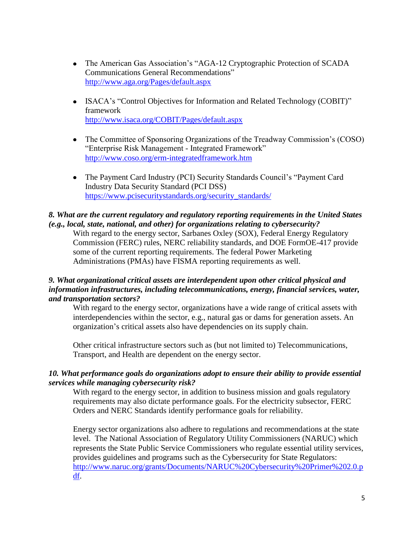- The American Gas Association's "AGA-12 Cryptographic Protection of SCADA Communications General Recommendations" <http://www.aga.org/Pages/default.aspx>
- ISACA's "Control Objectives for Information and Related Technology (COBIT)" framework <http://www.isaca.org/COBIT/Pages/default.aspx>
- The Committee of Sponsoring Organizations of the Treadway Commission's (COSO) "Enterprise Risk Management - Integrated Framework" <http://www.coso.org/erm-integratedframework.htm>
- The Payment Card Industry (PCI) Security Standards Council's "Payment Card Industry Data Security Standard (PCI DSS) [https://www.pcisecuritystandards.org/security\\_standards/](https://www.pcisecuritystandards.org/security_standards/)

## *8. What are the current regulatory and regulatory reporting requirements in the United States (e.g., local, state, national, and other) for organizations relating to cybersecurity?*

With regard to the energy sector, Sarbanes Oxley (SOX), Federal Energy Regulatory Commission (FERC) rules, NERC reliability standards, and DOE FormOE-417 provide some of the current reporting requirements. The federal Power Marketing Administrations (PMAs) have FISMA reporting requirements as well.

## *9. What organizational critical assets are interdependent upon other critical physical and information infrastructures, including telecommunications, energy, financial services, water, and transportation sectors?*

With regard to the energy sector, organizations have a wide range of critical assets with interdependencies within the sector, e.g., natural gas or dams for generation assets. An organization's critical assets also have dependencies on its supply chain.

Other critical infrastructure sectors such as (but not limited to) Telecommunications, Transport, and Health are dependent on the energy sector.

## *10. What performance goals do organizations adopt to ensure their ability to provide essential services while managing cybersecurity risk?*

With regard to the energy sector, in addition to business mission and goals regulatory requirements may also dictate performance goals. For the electricity subsector, FERC Orders and NERC Standards identify performance goals for reliability.

Energy sector organizations also adhere to regulations and recommendations at the state level. The National Association of Regulatory Utility Commissioners (NARUC) which represents the State Public Service Commissioners who regulate essential utility services, provides guidelines and programs such as the Cybersecurity for State Regulators: [http://www.naruc.org/grants/Documents/NARUC%20Cybersecurity%20Primer%202.0.p](http://www.naruc.org/grants/Documents/NARUC%20Cybersecurity%20Primer%202.0.pdf) [df.](http://www.naruc.org/grants/Documents/NARUC%20Cybersecurity%20Primer%202.0.pdf)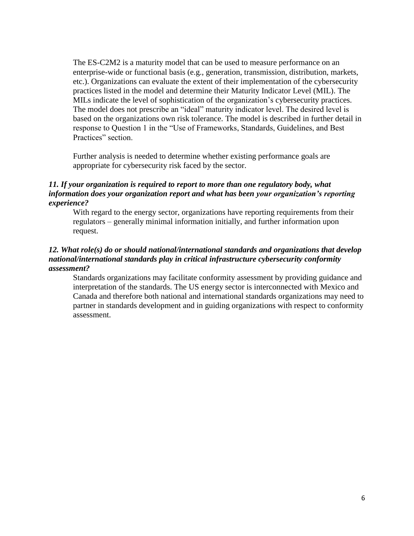The ES-C2M2 is a maturity model that can be used to measure performance on an enterprise-wide or functional basis (e.g., generation, transmission, distribution, markets, etc.). Organizations can evaluate the extent of their implementation of the cybersecurity practices listed in the model and determine their Maturity Indicator Level (MIL). The MILs indicate the level of sophistication of the organization's cybersecurity practices. The model does not prescribe an "ideal" maturity indicator level. The desired level is based on the organizations own risk tolerance. The model is described in further detail in response to Question 1 in the "Use of Frameworks, Standards, Guidelines, and Best Practices" section.

Further analysis is needed to determine whether existing performance goals are appropriate for cybersecurity risk faced by the sector.

## *11. If your organization is required to report to more than one regulatory body, what information does your organization report and what has been your organization's reporting experience?*

With regard to the energy sector, organizations have reporting requirements from their regulators – generally minimal information initially, and further information upon request.

## *12. What role(s) do or should national/international standards and organizations that develop national/international standards play in critical infrastructure cybersecurity conformity assessment?*

Standards organizations may facilitate conformity assessment by providing guidance and interpretation of the standards. The US energy sector is interconnected with Mexico and Canada and therefore both national and international standards organizations may need to partner in standards development and in guiding organizations with respect to conformity assessment.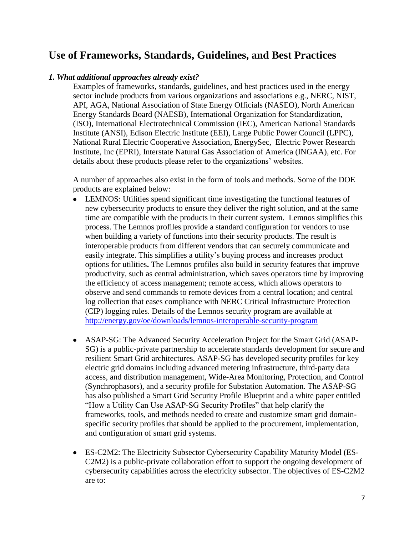## **Use of Frameworks, Standards, Guidelines, and Best Practices**

## *1. What additional approaches already exist?*

Examples of frameworks, standards, guidelines, and best practices used in the energy sector include products from various organizations and associations e.g., NERC, NIST, API, AGA, National Association of State Energy Officials (NASEO), North American Energy Standards Board (NAESB), International Organization for Standardization, (ISO), International Electrotechnical Commission (IEC), American National Standards Institute (ANSI), Edison Electric Institute (EEI), Large Public Power Council (LPPC), National Rural Electric Cooperative Association, EnergySec, Electric Power Research Institute, Inc (EPRI), Interstate Natural Gas Association of America (INGAA), etc. For details about these products please refer to the organizations' websites.

A number of approaches also exist in the form of tools and methods. Some of the DOE products are explained below:

- LEMNOS: Utilities spend significant time investigating the functional features of new cybersecurity products to ensure they deliver the right solution, and at the same time are compatible with the products in their current system. Lemnos simplifies this process. The Lemnos profiles provide a standard configuration for vendors to use when building a variety of functions into their security products. The result is interoperable products from different vendors that can securely communicate and easily integrate. This simplifies a utility's buying process and increases product options for utilities**.** The Lemnos profiles also build in security features that improve productivity, such as central administration, which saves operators time by improving the efficiency of access management; remote access, which allows operators to observe and send commands to remote devices from a central location; and central log collection that eases compliance with NERC Critical Infrastructure Protection (CIP) logging rules. Details of the Lemnos security program are available at <http://energy.gov/oe/downloads/lemnos-interoperable-security-program>
- ASAP-SG: The Advanced Security Acceleration Project for the Smart Grid (ASAP-SG) is a public-private partnership to accelerate standards development for secure and resilient Smart Grid architectures. ASAP-SG has developed security profiles for key electric grid domains including advanced metering infrastructure, third-party data access, and distribution management, Wide-Area Monitoring, Protection, and Control (Synchrophasors), and a security profile for Substation Automation. The ASAP-SG has also published a Smart Grid Security Profile Blueprint and a white paper entitled "How a Utility Can Use ASAP-SG Security Profiles" that help clarify the frameworks, tools, and methods needed to create and customize smart grid domainspecific security profiles that should be applied to the procurement, implementation, and configuration of smart grid systems.
- ES-C2M2: The Electricity Subsector Cybersecurity Capability Maturity Model (ES-C2M2) is a public-private collaboration effort to support the ongoing development of cybersecurity capabilities across the electricity subsector. The objectives of ES-C2M2 are to: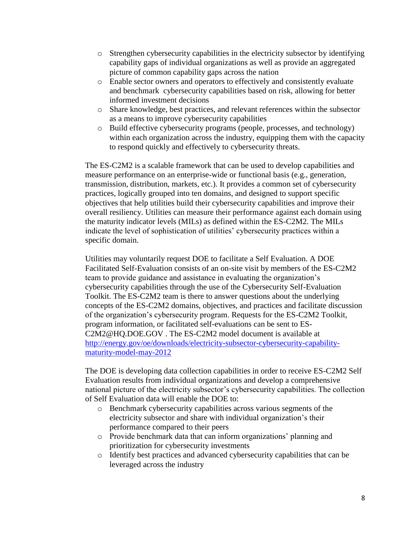- o Strengthen cybersecurity capabilities in the electricity subsector by identifying capability gaps of individual organizations as well as provide an aggregated picture of common capability gaps across the nation
- o Enable sector owners and operators to effectively and consistently evaluate and benchmark cybersecurity capabilities based on risk, allowing for better informed investment decisions
- o Share knowledge, best practices, and relevant references within the subsector as a means to improve cybersecurity capabilities
- o Build effective cybersecurity programs (people, processes, and technology) within each organization across the industry, equipping them with the capacity to respond quickly and effectively to cybersecurity threats.

The ES-C2M2 is a scalable framework that can be used to develop capabilities and measure performance on an enterprise-wide or functional basis (e.g., generation, transmission, distribution, markets, etc.). It provides a common set of cybersecurity practices, logically grouped into ten domains, and designed to support specific objectives that help utilities build their cybersecurity capabilities and improve their overall resiliency. Utilities can measure their performance against each domain using the maturity indicator levels (MILs) as defined within the ES-C2M2. The MILs indicate the level of sophistication of utilities' cybersecurity practices within a specific domain.

Utilities may voluntarily request DOE to facilitate a Self Evaluation. A DOE Facilitated Self-Evaluation consists of an on-site visit by members of the ES-C2M2 team to provide guidance and assistance in evaluating the organization's cybersecurity capabilities through the use of the Cybersecurity Self-Evaluation Toolkit. The ES-C2M2 team is there to answer questions about the underlying concepts of the ES-C2M2 domains, objectives, and practices and facilitate discussion of the organization's cybersecurity program. Requests for the ES-C2M2 Toolkit, program information, or facilitated self-evaluations can be sent to [ES-](mailto:ES-C2M2@HQ.DOE.GOV)[C2M2@HQ.DOE.GOV](mailto:ES-C2M2@HQ.DOE.GOV) . The ES-C2M2 model document is available at [http://energy.gov/oe/downloads/electricity-subsector-cybersecurity-capability](http://energy.gov/oe/downloads/electricity-subsector-cybersecurity-capability-maturity-model-may-2012)[maturity-model-may-2012](http://energy.gov/oe/downloads/electricity-subsector-cybersecurity-capability-maturity-model-may-2012)

The DOE is developing data collection capabilities in order to receive ES-C2M2 Self Evaluation results from individual organizations and develop a comprehensive national picture of the electricity subsector's cybersecurity capabilities. The collection of Self Evaluation data will enable the DOE to:

- o Benchmark cybersecurity capabilities across various segments of the electricity subsector and share with individual organization's their performance compared to their peers
- o Provide benchmark data that can inform organizations' planning and prioritization for cybersecurity investments
- o Identify best practices and advanced cybersecurity capabilities that can be leveraged across the industry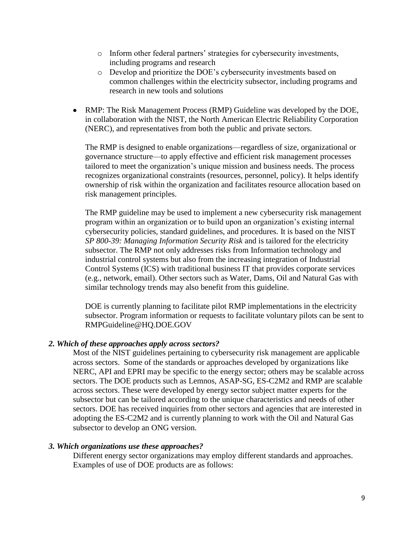- o Inform other federal partners' strategies for cybersecurity investments, including programs and research
- o Develop and prioritize the DOE's cybersecurity investments based on common challenges within the electricity subsector, including programs and research in new tools and solutions
- RMP: The Risk Management Process (RMP) Guideline was developed by the DOE, in collaboration with the NIST, the North American Electric Reliability Corporation (NERC), and representatives from both the public and private sectors.

The RMP is designed to enable organizations—regardless of size, organizational or governance structure—to apply effective and efficient risk management processes tailored to meet the organization's unique mission and business needs. The process recognizes organizational constraints (resources, personnel, policy). It helps identify ownership of risk within the organization and facilitates resource allocation based on risk management principles.

The RMP guideline may be used to implement a new cybersecurity risk management program within an organization or to build upon an organization's existing internal cybersecurity policies, standard guidelines, and procedures. It is based on the NIST *SP 800-39: Managing Information Security Risk* and is tailored for the electricity subsector. The RMP not only addresses risks from Information technology and industrial control systems but also from the increasing integration of Industrial Control Systems (ICS) with traditional business IT that provides corporate services (e.g., network, email). Other sectors such as Water, Dams, Oil and Natural Gas with similar technology trends may also benefit from this guideline.

DOE is currently planning to facilitate pilot RMP implementations in the electricity subsector. Program information or requests to facilitate voluntary pilots can be sent to RMPGuideline@HQ.DOE.GOV

## *2. Which of these approaches apply across sectors?*

Most of the NIST guidelines pertaining to cybersecurity risk management are applicable across sectors. Some of the standards or approaches developed by organizations like NERC, API and EPRI may be specific to the energy sector; others may be scalable across sectors. The DOE products such as Lemnos, ASAP-SG, ES-C2M2 and RMP are scalable across sectors. These were developed by energy sector subject matter experts for the subsector but can be tailored according to the unique characteristics and needs of other sectors. DOE has received inquiries from other sectors and agencies that are interested in adopting the ES-C2M2 and is currently planning to work with the Oil and Natural Gas subsector to develop an ONG version.

## *3. Which organizations use these approaches?*

Different energy sector organizations may employ different standards and approaches. Examples of use of DOE products are as follows: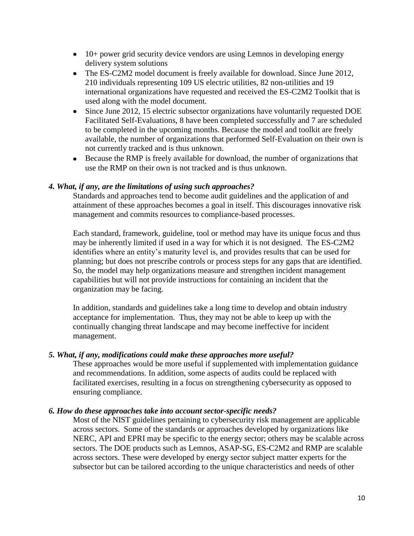- 10+ power grid security device vendors are using Lemnos in developing energy delivery system solutions
- The ES-C2M2 model document is freely available for download. Since June 2012, 210 individuals representing 109 US electric utilities, 82 non-utilities and 19 international organizations have requested and received the ES-C2M2 Toolkit that is used along with the model document.
- Since June 2012, 15 electric subsector organizations have voluntarily requested DOE Facilitated Self-Evaluations, 8 have been completed successfully and 7 are scheduled to be completed in the upcoming months. Because the model and toolkit are freely available, the number of organizations that performed Self-Evaluation on their own is not currently tracked and is thus unknown.
- Because the RMP is freely available for download, the number of organizations that use the RMP on their own is not tracked and is thus unknown.

## *4. What, if any, are the limitations of using such approaches?*

Standards and approaches tend to become audit guidelines and the application of and attainment of these approaches becomes a goal in itself. This discourages innovative risk management and commits resources to compliance-based processes.

Each standard, framework, guideline, tool or method may have its unique focus and thus may be inherently limited if used in a way for which it is not designed. The ES-C2M2 identifies where an entity's maturity level is, and provides results that can be used for planning; but does not prescribe controls or process steps for any gaps that are identified. So, the model may help organizations measure and strengthen incident management capabilities but will not provide instructions for containing an incident that the organization may be facing.

In addition, standards and guidelines take a long time to develop and obtain industry acceptance for implementation. Thus, they may not be able to keep up with the continually changing threat landscape and may become ineffective for incident management.

## *5. What, if any, modifications could make these approaches more useful?*

These approaches would be more useful if supplemented with implementation guidance and recommendations. In addition, some aspects of audits could be replaced with facilitated exercises, resulting in a focus on strengthening cybersecurity as opposed to ensuring compliance.

#### *6. How do these approaches take into account sector-specific needs?*

Most of the NIST guidelines pertaining to cybersecurity risk management are applicable across sectors. Some of the standards or approaches developed by organizations like NERC, API and EPRI may be specific to the energy sector; others may be scalable across sectors. The DOE products such as Lemnos, ASAP-SG, ES-C2M2 and RMP are scalable across sectors. These were developed by energy sector subject matter experts for the subsector but can be tailored according to the unique characteristics and needs of other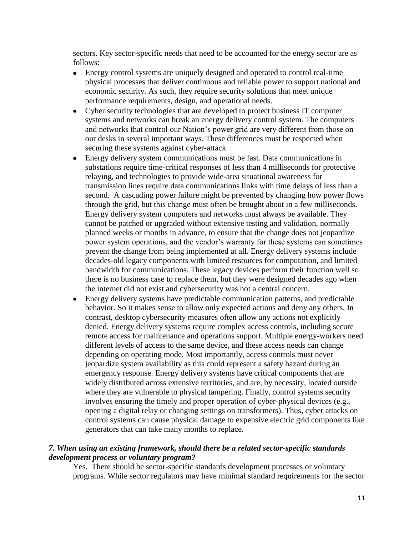sectors. Key sector-specific needs that need to be accounted for the energy sector are as follows:

- Energy control systems are uniquely designed and operated to control real-time physical processes that deliver continuous and reliable power to support national and economic security. As such, they require security solutions that meet unique performance requirements, design, and operational needs.
- Cyber security technologies that are developed to protect business IT computer systems and networks can break an energy delivery control system. The computers and networks that control our Nation's power grid are very different from those on our desks in several important ways. These differences must be respected when securing these systems against cyber-attack.
- Energy delivery system communications must be fast. Data communications in substations require time-critical responses of less than 4 milliseconds for protective relaying, and technologies to provide wide-area situational awareness for transmission lines require data communications links with time delays of less than a second. A cascading power failure might be prevented by changing how power flows through the grid, but this change must often be brought about in a few milliseconds. Energy delivery system computers and networks must always be available. They cannot be patched or upgraded without extensive testing and validation, normally planned weeks or months in advance, to ensure that the change does not jeopardize power system operations, and the vendor's warranty for these systems can sometimes prevent the change from being implemented at all. Energy delivery systems include decades-old legacy components with limited resources for computation, and limited bandwidth for communications. These legacy devices perform their function well so there is no business case to replace them, but they were designed decades ago when the internet did not exist and cybersecurity was not a central concern.
- Energy delivery systems have predictable communication patterns, and predictable  $\bullet$ behavior. So it makes sense to allow only expected actions and deny any others. In contrast, desktop cybersecurity measures often allow any actions not explicitly denied. Energy delivery systems require complex access controls, including secure remote access for maintenance and operations support. Multiple energy-workers need different levels of access to the same device, and these access needs can change depending on operating mode. Most importantly, access controls must never jeopardize system availability as this could represent a safety hazard during an emergency response. Energy delivery systems have critical components that are widely distributed across extensive territories, and are, by necessity, located outside where they are vulnerable to physical tampering. Finally, control systems security involves ensuring the timely and proper operation of cyber-physical devices (e.g., opening a digital relay or changing settings on transformers). Thus, cyber attacks on control systems can cause physical damage to expensive electric grid components like generators that can take many months to replace.

## *7. When using an existing framework, should there be a related sector-specific standards development process or voluntary program?*

Yes. There should be sector-specific standards development processes or voluntary programs. While sector regulators may have minimal standard requirements for the sector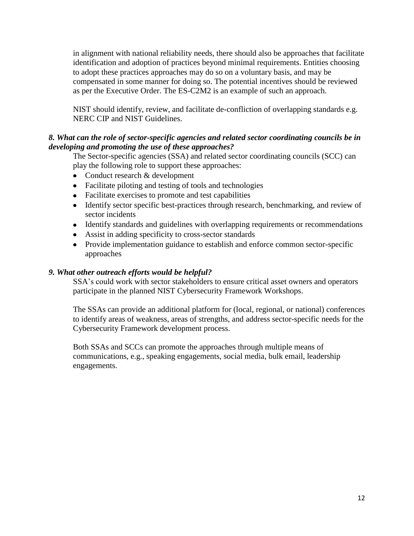in alignment with national reliability needs, there should also be approaches that facilitate identification and adoption of practices beyond minimal requirements. Entities choosing to adopt these practices approaches may do so on a voluntary basis, and may be compensated in some manner for doing so. The potential incentives should be reviewed as per the Executive Order. The ES-C2M2 is an example of such an approach.

NIST should identify, review, and facilitate de-confliction of overlapping standards e.g. NERC CIP and NIST Guidelines.

## *8. What can the role of sector-specific agencies and related sector coordinating councils be in developing and promoting the use of these approaches?*

The Sector-specific agencies (SSA) and related sector coordinating councils (SCC) can play the following role to support these approaches:

- Conduct research & development
- Facilitate piloting and testing of tools and technologies
- Facilitate exercises to promote and test capabilities
- Identify sector specific best-practices through research, benchmarking, and review of sector incidents
- Identify standards and guidelines with overlapping requirements or recommendations
- Assist in adding specificity to cross-sector standards
- Provide implementation guidance to establish and enforce common sector-specific approaches

## *9. What other outreach efforts would be helpful?*

SSA's could work with sector stakeholders to ensure critical asset owners and operators participate in the planned NIST Cybersecurity Framework Workshops.

The SSAs can provide an additional platform for (local, regional, or national) conferences to identify areas of weakness, areas of strengths, and address sector-specific needs for the Cybersecurity Framework development process.

Both SSAs and SCCs can promote the approaches through multiple means of communications, e.g., speaking engagements, social media, bulk email, leadership engagements.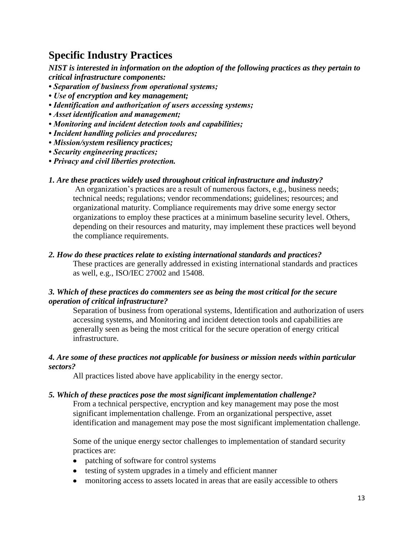## **Specific Industry Practices**

*NIST is interested in information on the adoption of the following practices as they pertain to critical infrastructure components:*

- *Separation of business from operational systems;*
- *Use of encryption and key management;*
- *Identification and authorization of users accessing systems;*
- *Asset identification and management;*
- *Monitoring and incident detection tools and capabilities;*
- *Incident handling policies and procedures;*
- *Mission/system resiliency practices;*
- *Security engineering practices;*
- *Privacy and civil liberties protection.*

## *1. Are these practices widely used throughout critical infrastructure and industry?*

An organization's practices are a result of numerous factors, e.g., business needs; technical needs; regulations; vendor recommendations; guidelines; resources; and organizational maturity. Compliance requirements may drive some energy sector organizations to employ these practices at a minimum baseline security level. Others, depending on their resources and maturity, may implement these practices well beyond the compliance requirements.

## *2. How do these practices relate to existing international standards and practices?*

These practices are generally addressed in existing international standards and practices as well, e.g., ISO/IEC 27002 and 15408.

## *3. Which of these practices do commenters see as being the most critical for the secure operation of critical infrastructure?*

Separation of business from operational systems, Identification and authorization of users accessing systems, and Monitoring and incident detection tools and capabilities are generally seen as being the most critical for the secure operation of energy critical infrastructure.

## *4. Are some of these practices not applicable for business or mission needs within particular sectors?*

All practices listed above have applicability in the energy sector.

## *5. Which of these practices pose the most significant implementation challenge?*

From a technical perspective, encryption and key management may pose the most significant implementation challenge. From an organizational perspective, asset identification and management may pose the most significant implementation challenge.

Some of the unique energy sector challenges to implementation of standard security practices are:

- patching of software for control systems
- testing of system upgrades in a timely and efficient manner
- monitoring access to assets located in areas that are easily accessible to others